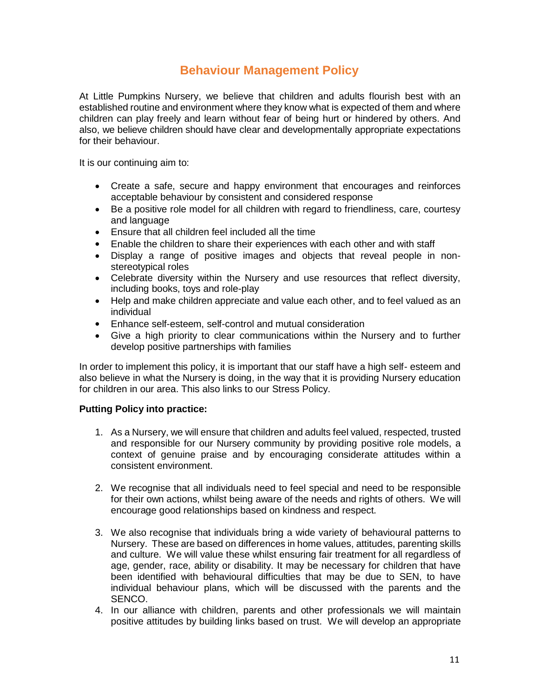## **Behaviour Management Policy**

At Little Pumpkins Nursery, we believe that children and adults flourish best with an established routine and environment where they know what is expected of them and where children can play freely and learn without fear of being hurt or hindered by others. And also, we believe children should have clear and developmentally appropriate expectations for their behaviour.

It is our continuing aim to:

- Create a safe, secure and happy environment that encourages and reinforces acceptable behaviour by consistent and considered response
- Be a positive role model for all children with regard to friendliness, care, courtesy and language
- Ensure that all children feel included all the time
- Enable the children to share their experiences with each other and with staff
- Display a range of positive images and objects that reveal people in nonstereotypical roles
- Celebrate diversity within the Nursery and use resources that reflect diversity, including books, toys and role-play
- Help and make children appreciate and value each other, and to feel valued as an individual
- Enhance self-esteem, self-control and mutual consideration
- Give a high priority to clear communications within the Nursery and to further develop positive partnerships with families

In order to implement this policy, it is important that our staff have a high self- esteem and also believe in what the Nursery is doing, in the way that it is providing Nursery education for children in our area. This also links to our Stress Policy.

## **Putting Policy into practice:**

- 1. As a Nursery, we will ensure that children and adults feel valued, respected, trusted and responsible for our Nursery community by providing positive role models, a context of genuine praise and by encouraging considerate attitudes within a consistent environment.
- 2. We recognise that all individuals need to feel special and need to be responsible for their own actions, whilst being aware of the needs and rights of others. We will encourage good relationships based on kindness and respect.
- 3. We also recognise that individuals bring a wide variety of behavioural patterns to Nursery. These are based on differences in home values, attitudes, parenting skills and culture. We will value these whilst ensuring fair treatment for all regardless of age, gender, race, ability or disability. It may be necessary for children that have been identified with behavioural difficulties that may be due to SEN, to have individual behaviour plans, which will be discussed with the parents and the SENCO.
- 4. In our alliance with children, parents and other professionals we will maintain positive attitudes by building links based on trust. We will develop an appropriate